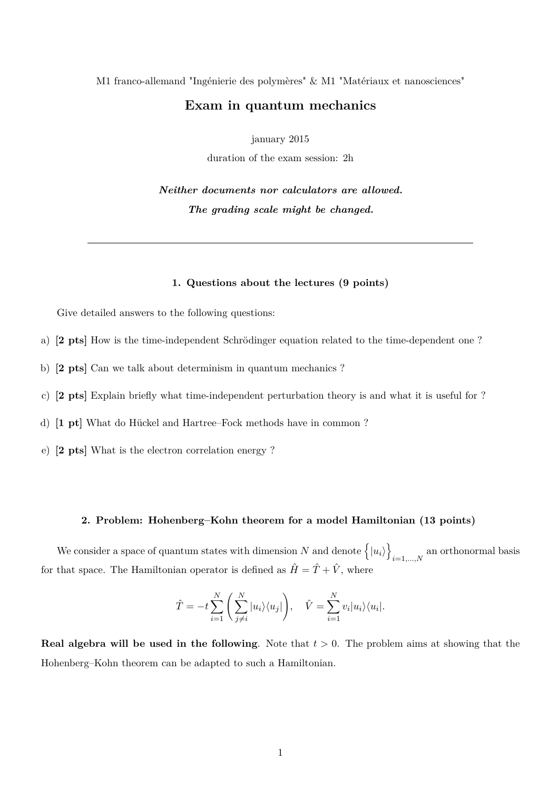M1 franco-allemand "Ingénierie des polymères" & M1 "Matériaux et nanosciences"

## **Exam in quantum mechanics**

january 2015

duration of the exam session: 2h

*Neither documents nor calculators are allowed. The grading scale might be changed.*

## **1. Questions about the lectures (9 points)**

Give detailed answers to the following questions:

- a) **[2 pts]** How is the time-independent Schrödinger equation related to the time-dependent one ?
- b) **[2 pts]** Can we talk about determinism in quantum mechanics ?
- c) **[2 pts]** Explain briefly what time-independent perturbation theory is and what it is useful for ?
- d) **[1 pt]** What do Hückel and Hartree–Fock methods have in common ?
- e) **[2 pts]** What is the electron correlation energy ?

## **2. Problem: Hohenberg–Kohn theorem for a model Hamiltonian (13 points)**

We consider a space of quantum states with dimension  $N$  and denote  $\big\{ |u_i \rangle \big\}$ *i*=1*,...,N* an orthonormal basis for that space. The Hamiltonian operator is defined as  $\hat{H} = \hat{T} + \hat{V}$ , where

$$
\hat{T} = -t \sum_{i=1}^{N} \left( \sum_{j \neq i}^{N} |u_i\rangle\langle u_j| \right), \quad \hat{V} = \sum_{i=1}^{N} v_i |u_i\rangle\langle u_i|.
$$

**Real algebra will be used in the following**. Note that *t >* 0. The problem aims at showing that the Hohenberg–Kohn theorem can be adapted to such a Hamiltonian.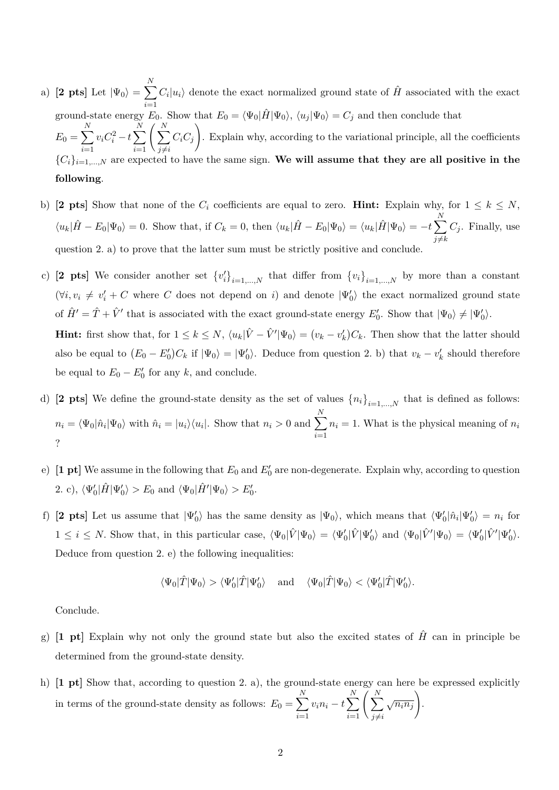a) [2 pts] Let  $|\Psi_0\rangle = \sum_{i=1}^{N} C_i |u_i\rangle$  denote the exact normalized ground state of  $\hat{H}$  associated with the exact ground-state energy  $E_0$ . Show that  $E_0 = \langle \Psi_0 | \hat{H} | \Psi_0 \rangle$ ,  $\langle u_j | \Psi_0 \rangle = C_j$  and then conclude that  $E_0 = \sum^N$ *i*=1  $v_i C_i^2 - t \sum_{i=1}^N \left( \sum_{j \neq i}^N \right)$  $j \neq i$  $C_iC_j$  $\lambda$ . Explain why, according to the variational principle, all the coefficients  ${C_i}_{i=1,\dots,N}$  are expected to have the same sign. We will assume that they are all positive in the **following**.

- b) **[2 pts]** Show that none of the  $C_i$  coefficients are equal to zero. **Hint:** Explain why, for  $1 \leq k \leq N$ ,  $\langle u_k|\hat{H}-E_0|\Psi_0\rangle=0.$  Show that, if  $C_k=0$ , then  $\langle u_k|\hat{H}-E_0|\Psi_0\rangle=\langle u_k|\hat{H}|\Psi_0\rangle=-t\sum_{k=0}^N\langle u_k|\hat{H}|^2\rangle$  $j \neq k$  $C_j$ . Finally, use question 2. a) to prove that the latter sum must be strictly positive and conclude.
- c) [2 pts] We consider another set  ${v_i'}_{i=1,\dots,N}$  that differ from  ${v_i}_{i=1,\dots,N}$  by more than a constant  $(\forall i, v_i \neq v'_i + C$  where *C* does not depend on *i*) and denote  $|\Psi'_0\rangle$  the exact normalized ground state of  $\hat{H}' = \hat{T} + \hat{V}'$  that is associated with the exact ground-state energy  $E'_0$ . Show that  $|\Psi_0\rangle \neq |\Psi'_0\rangle$ .

**Hint:** first show that, for  $1 \leq k \leq N$ ,  $\langle u_k | \hat{V} - \hat{V}' | \Psi_0 \rangle = (v_k - v'_k) C_k$ . Then show that the latter should also be equal to  $(E_0 - E'_0)C_k$  if  $|\Psi_0\rangle = |\Psi'_0\rangle$ . Deduce from question 2. b) that  $v_k - v'_k$  should therefore be equal to  $E_0 - E'_0$  for any *k*, and conclude.

- d) [2 pts] We define the ground-state density as the set of values  $\{n_i\}_{i=1,\dots,N}$  that is defined as follows:  $n_i = \langle \Psi_0 | \hat{n}_i | \Psi_0 \rangle$  with  $\hat{n}_i = |u_i\rangle \langle u_i |$ . Show that  $n_i > 0$  and  $\sum^N$ *i*=1  $n_i = 1$ *.* What is the physical meaning of  $n_i$ ?
- e)  $[1 \text{ pt}]$  We assume in the following that  $E_0$  and  $E'_0$  are non-degenerate. Explain why, according to question 2. c),  $\langle \Psi_0' | \hat{H} | \Psi_0' \rangle > E_0$  and  $\langle \Psi_0 | \hat{H}' | \Psi_0 \rangle > E_0'$ .
- f) [2 pts] Let us assume that  $|\Psi'_0\rangle$  has the same density as  $|\Psi_0\rangle$ , which means that  $\langle\Psi'_0|\hat{n}_i|\Psi'_0\rangle = n_i$  for  $1 \leq i \leq N$ . Show that, in this particular case,  $\langle \Psi_0 | \hat{V} | \Psi_0 \rangle = \langle \Psi'_0 | \hat{V} | \Psi'_0 \rangle$  and  $\langle \Psi_0 | \hat{V}' | \Psi_0 \rangle = \langle \Psi'_0 | \hat{V}' | \Psi'_0 \rangle$ . Deduce from question 2. e) the following inequalities:

$$
\langle \Psi_0 | \hat{T} | \Psi_0 \rangle > \langle \Psi'_0 | \hat{T} | \Psi'_0 \rangle \quad \text{ and } \quad \langle \Psi_0 | \hat{T} | \Psi_0 \rangle < \langle \Psi'_0 | \hat{T} | \Psi'_0 \rangle.
$$

Conclude.

- g) **[1 pt]** Explain why not only the ground state but also the excited states of  $\hat{H}$  can in principle be determined from the ground-state density.
- h) **[1 pt]** Show that, according to question 2. a), the ground-state energy can here be expressed explicitly in terms of the ground-state density as follows:  $E_0 = \sum_{n=1}^{N}$ *i*=1  $v_i n_i - t \sum_{i=1}^N \left( \sum_{j \neq i}^N \right)$  $j \neq i$  $\sqrt{n_i n_j}$ .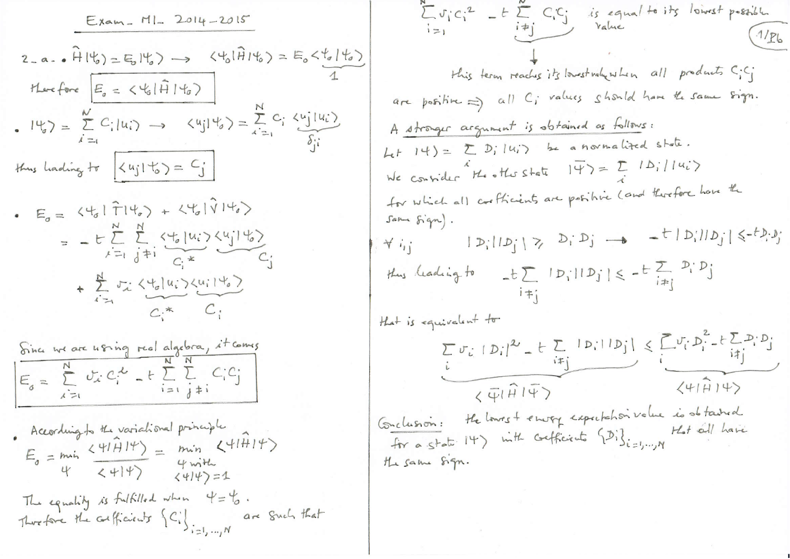| Example 2. a. A. If $ b  = 2014 - 2015$ | Example 2. a. If $ b  = 2014 - 2015$ | Example 2. a. If $ b  = 2014 + 2015$ |
|-----------------------------------------|--------------------------------------|--------------------------------------|
| 1. $ b  = 2$                            | 2. $ a  = 2$                         | 3. $ b  = 2$                         |
| 2. a. A. If $ b  = 25$                  | 4. $ b  = 201$                       |                                      |
| 3. $ b  = 2$                            | 5. $ b  = 2$                         |                                      |
| 4. $ b  = 2$                            | 6. $ b  = 2$                         |                                      |
| 5. $ b  = 2$                            | 7. $ b  = 2$                         |                                      |
| 6. $ b  = 2$                            | 8. $ b  = 2$                         |                                      |
| 7. $ b  = 2$                            | 9. $ b  = 2$                         |                                      |
| 8. $ b  = 2$                            | 10. $ b  = 2$                        |                                      |
| 9. $ b  = 2$                            | 11. $ b  = 2$                        |                                      |
| 10. $ b  = 2$                           | 12. $ b  = 2$                        |                                      |
| 11. $ b  = 2$                           | 13. $ b  = 2$                        |                                      |
| 12. $ b  = 2$                           | 14. $ b  = 2$                        |                                      |
| 13. $ b  = 2$                           | 15. $ b  = 2$                        |                                      |
| 14. $ b  = 2$                           | 16. $ b  = 2$                        |                                      |
| 15. $ b  =$                             |                                      |                                      |

is equal to its lowest possible.

 $7/p<sub>b</sub>$ 

Value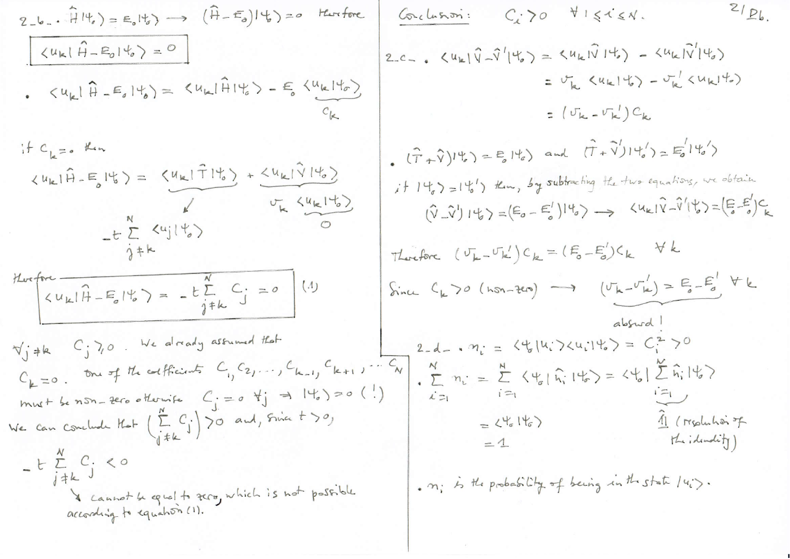| \n $2.6. \overrightarrow{AB} + \overrightarrow{B} = \overrightarrow{B} + \overrightarrow{B} = 0$ \n | \n $(\overrightarrow{A} - \overrightarrow{B}) + \overrightarrow{B} = 0$ \n | \n $(\overrightarrow{A} - \overrightarrow{B}) + \overrightarrow{B} = 0$ \n | \n $(\overrightarrow{B} - \overrightarrow{B}) + \overrightarrow{B} = 0$ \n | \n $(\overrightarrow{B} - \overrightarrow{B}) + \overrightarrow{B} = 0$ \n | \n $(\overrightarrow{B} - \overrightarrow{B}) + \overrightarrow{B} = 0$ \n | \n $(\overrightarrow{B} - \overrightarrow{B}) + \overrightarrow{B} = 0$ \n | \n $(\overrightarrow{B} - \overrightarrow{B}) + \overrightarrow{B} = 0$ \n | \n $(\overrightarrow{B} - \overrightarrow{B}) + \overrightarrow{B} = 0$ \n | \n $(\overrightarrow{B} - \overrightarrow{B}) + \overrightarrow{B} = 0$ \n | \n $(\overrightarrow{B} - \overrightarrow{B}) + \overrightarrow{B} = 0$ \n | \n $(\overrightarrow{B} - \overrightarrow{B}) + \overrightarrow{B} = 0$ \n | \n $(\overrightarrow{B} - \overrightarrow{B}) + \overrightarrow{B} = 0$ \n | \n $(\overrightarrow{B} - \overrightarrow{B}) + \overrightarrow{B} = 0$ \n | \n $(\overrightarrow{B} - \overrightarrow{B}) + \overrightarrow{B} = 0$ \n | \n $(\overrightarrow{B} - \overrightarrow{B}) + \overrightarrow{B} = 0$ \n | \n $(\overrightarrow{B} - \overrightarrow{B}) + \overrightarrow{B} = 0$ \n | \n $(\overrightarrow{B} - \overrightarrow{B}) + \overrightarrow{B} = 0$ \n | \n $(\overrightarrow{B} - \overrightarrow{B}) + \overrightarrow{B} = 0$ \n | \n $(\overrightarrow{B} - \overrightarrow{B}) + \overrightarrow{B} = 0$ \n | \n $(\over$ |
|-----------------------------------------------------------------------------------------------------|----------------------------------------------------------------------------|----------------------------------------------------------------------------|----------------------------------------------------------------------------|----------------------------------------------------------------------------|----------------------------------------------------------------------------|----------------------------------------------------------------------------|----------------------------------------------------------------------------|----------------------------------------------------------------------------|----------------------------------------------------------------------------|----------------------------------------------------------------------------|----------------------------------------------------------------------------|----------------------------------------------------------------------------|----------------------------------------------------------------------------|----------------------------------------------------------------------------|----------------------------------------------------------------------------|----------------------------------------------------------------------------|----------------------------------------------------------------------------|----------------------------------------------------------------------------|----------------------------------------------------------------------------|-------------|
|-----------------------------------------------------------------------------------------------------|----------------------------------------------------------------------------|----------------------------------------------------------------------------|----------------------------------------------------------------------------|----------------------------------------------------------------------------|----------------------------------------------------------------------------|----------------------------------------------------------------------------|----------------------------------------------------------------------------|----------------------------------------------------------------------------|----------------------------------------------------------------------------|----------------------------------------------------------------------------|----------------------------------------------------------------------------|----------------------------------------------------------------------------|----------------------------------------------------------------------------|----------------------------------------------------------------------------|----------------------------------------------------------------------------|----------------------------------------------------------------------------|----------------------------------------------------------------------------|----------------------------------------------------------------------------|----------------------------------------------------------------------------|-------------|

 $\frac{1}{2}$